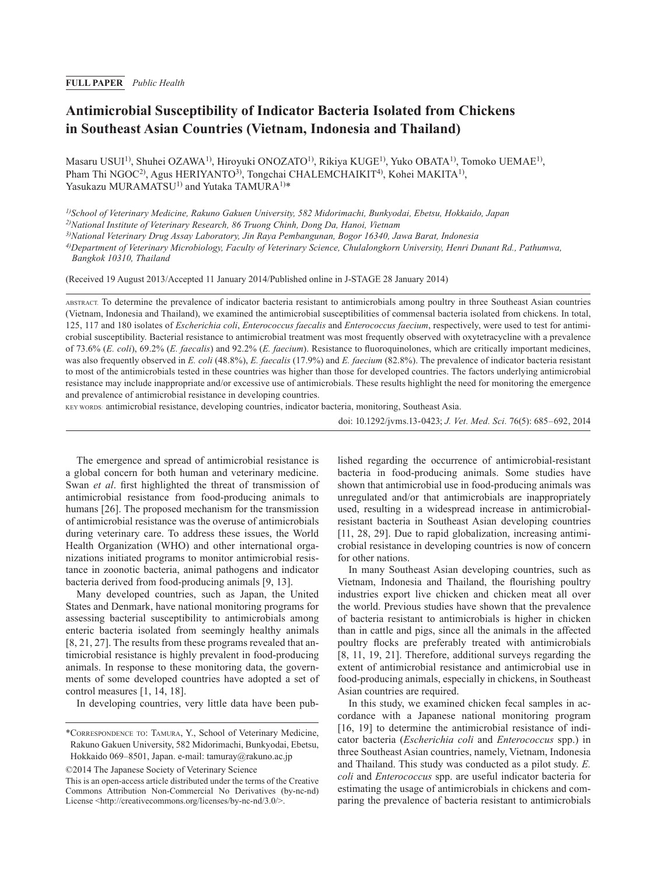# **Antimicrobial Susceptibility of Indicator Bacteria Isolated from Chickens in Southeast Asian Countries (Vietnam, Indonesia and Thailand)**

Masaru USUI<sup>1)</sup>, Shuhei OZAWA<sup>1)</sup>, Hiroyuki ONOZATO<sup>1)</sup>, Rikiya KUGE<sup>1)</sup>, Yuko OBATA<sup>1)</sup>, Tomoko UEMAE<sup>1)</sup>, Pham Thi NGOC<sup>2</sup>, Agus HERIYANTO<sup>3</sup>, Tongchai CHALEMCHAIKIT<sup>4</sup>, Kohei MAKITA<sup>1</sup>, Yasukazu MURAMATSU<sup>1)</sup> and Yutaka TAMURA<sup>1)\*</sup>

*1)School of Veterinary Medicine, Rakuno Gakuen University, 582 Midorimachi, Bunkyodai, Ebetsu, Hokkaido, Japan*

*2)National Institute of Veterinary Research, 86 Truong Chinh, Dong Da, Hanoi, Vietnam*

*3)National Veterinary Drug Assay Laboratory, Jin Raya Pembangunan, Bogor 16340, Jawa Barat, Indonesia*

*4)Department of Veterinary Microbiology, Faculty of Veterinary Science, Chulalongkorn University, Henri Dunant Rd., Pathumwa, Bangkok 10310, Thailand*

(Received 19 August 2013/Accepted 11 January 2014/Published online in J-STAGE 28 January 2014)

ABSTRACT. To determine the prevalence of indicator bacteria resistant to antimicrobials among poultry in three Southeast Asian countries (Vietnam, Indonesia and Thailand), we examined the antimicrobial susceptibilities of commensal bacteria isolated from chickens. In total, 125, 117 and 180 isolates of *Escherichia coli*, *Enterococcus faecalis* and *Enterococcus faecium*, respectively, were used to test for antimicrobial susceptibility. Bacterial resistance to antimicrobial treatment was most frequently observed with oxytetracycline with a prevalence of 73.6% (*E. coli*), 69.2% (*E. faecalis*) and 92.2% (*E. faecium*). Resistance to fluoroquinolones, which are critically important medicines, was also frequently observed in *E. coli* (48.8%), *E. faecalis* (17.9%) and *E. faecium* (82.8%). The prevalence of indicator bacteria resistant to most of the antimicrobials tested in these countries was higher than those for developed countries. The factors underlying antimicrobial resistance may include inappropriate and/or excessive use of antimicrobials. These results highlight the need for monitoring the emergence and prevalence of antimicrobial resistance in developing countries.

KEY WORDS*:* antimicrobial resistance, developing countries, indicator bacteria, monitoring, Southeast Asia.

doi: 10.1292/jvms.13-0423; *J. Vet. Med. Sci.* 76(5): 685–692, 2014

The emergence and spread of antimicrobial resistance is a global concern for both human and veterinary medicine. Swan *et al*. first highlighted the threat of transmission of antimicrobial resistance from food-producing animals to humans [[26](#page-7-0)]. The proposed mechanism for the transmission of antimicrobial resistance was the overuse of antimicrobials during veterinary care. To address these issues, the World Health Organization (WHO) and other international organizations initiated programs to monitor antimicrobial resistance in zoonotic bacteria, animal pathogens and indicator bacteria derived from food-producing animals [\[9, 13](#page-6-0)].

Many developed countries, such as Japan, the United States and Denmark, have national monitoring programs for assessing bacterial susceptibility to antimicrobials among enteric bacteria isolated from seemingly healthy animals [[8, 21, 27](#page-6-1)]. The results from these programs revealed that antimicrobial resistance is highly prevalent in food-producing animals. In response to these monitoring data, the governments of some developed countries have adopted a set of control measures [\[1, 14, 18](#page-6-2)].

In developing countries, very little data have been pub-

©2014 The Japanese Society of Veterinary Science

lished regarding the occurrence of antimicrobial-resistant bacteria in food-producing animals. Some studies have shown that antimicrobial use in food-producing animals was unregulated and/or that antimicrobials are inappropriately used, resulting in a widespread increase in antimicrobialresistant bacteria in Southeast Asian developing countries [\[11, 28, 29\]](#page-6-3). Due to rapid globalization, increasing antimicrobial resistance in developing countries is now of concern for other nations.

In many Southeast Asian developing countries, such as Vietnam, Indonesia and Thailand, the flourishing poultry industries export live chicken and chicken meat all over the world. Previous studies have shown that the prevalence of bacteria resistant to antimicrobials is higher in chicken than in cattle and pigs, since all the animals in the affected poultry flocks are preferably treated with antimicrobials [\[8, 11, 19, 21\]](#page-6-1). Therefore, additional surveys regarding the extent of antimicrobial resistance and antimicrobial use in food-producing animals, especially in chickens, in Southeast Asian countries are required.

In this study, we examined chicken fecal samples in accordance with a Japanese national monitoring program [\[16, 19\]](#page-7-1) to determine the antimicrobial resistance of indicator bacteria (*Escherichia coli* and *Enterococcus* spp.) in three Southeast Asian countries, namely, Vietnam, Indonesia and Thailand. This study was conducted as a pilot study. *E. coli* and *Enterococcus* spp. are useful indicator bacteria for estimating the usage of antimicrobials in chickens and comparing the prevalence of bacteria resistant to antimicrobials

<sup>\*</sup>Correspondence to: Tamura, Y., School of Veterinary Medicine, Rakuno Gakuen University, 582 Midorimachi, Bunkyodai, Ebetsu, Hokkaido 069–8501, Japan. e-mail: tamuray@rakuno.ac.jp

This is an open-access article distributed under the terms of the Creative Commons Attribution Non-Commercial No Derivatives (by-nc-nd) License <<http://creativecommons.org/licenses/by-nc-nd/3.0/>>.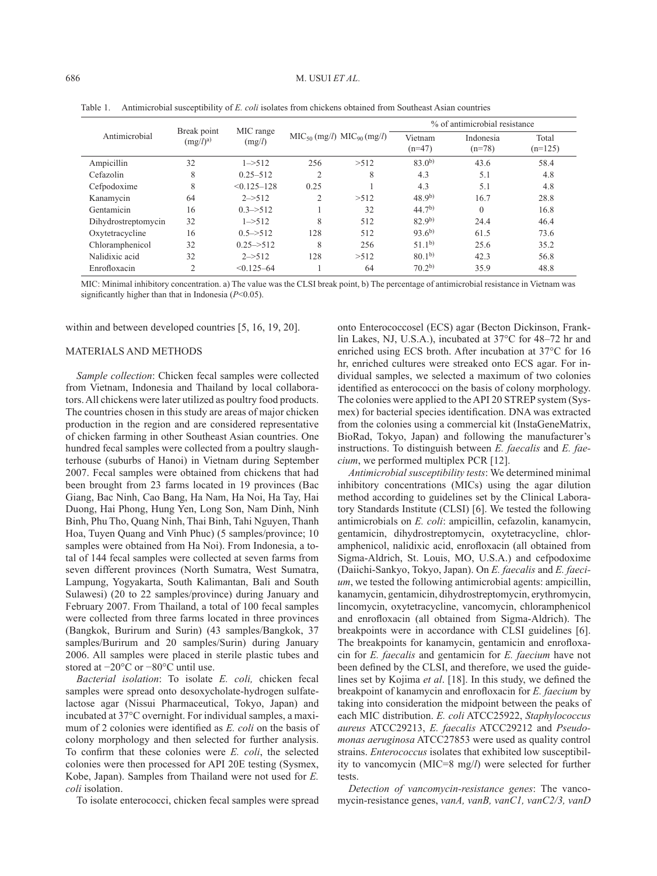| Antimicrobial       | Break point | MIC range              |                             |       | % of antimicrobial resistance |                       |                    |  |
|---------------------|-------------|------------------------|-----------------------------|-------|-------------------------------|-----------------------|--------------------|--|
|                     | $(mg/l)^a$  | (mg/l)                 | $MIC50 (mg/l) MIC90 (mg/l)$ |       | Vietnam<br>$(n=47)$           | Indonesia<br>$(n=78)$ | Total<br>$(n=125)$ |  |
| Ampicillin          | 32          | $1 - > 512$            | 256                         | >512  | $83.0^{b}$                    | 43.6                  | 58.4               |  |
| Cefazolin           | 8           | $0.25 - 512$           | 2                           | 8     | 4.3                           | 5.1                   | 4.8                |  |
| Cefpodoxime         | 8           | $< 0.125 - 128$        | 0.25                        |       | 4.3                           | 5.1                   | 4.8                |  |
| Kanamycin           | 64          | $2 - > 512$            | $\overline{c}$              | > 512 | $48.9^{b}$                    | 16.7                  | 28.8               |  |
| Gentamicin          | 16          | $0.3 \rightarrow 512$  |                             | 32    | $44.7^{b}$                    | $\Omega$              | 16.8               |  |
| Dihydrostreptomycin | 32          | $1 - 512$              | 8                           | 512   | 82.9 <sup>b</sup>             | 24.4                  | 46.4               |  |
| Oxytetracycline     | 16          | $0.5 \rightarrow 512$  | 128                         | 512   | $93.6^{b}$                    | 61.5                  | 73.6               |  |
| Chloramphenicol     | 32          | $0.25 \rightarrow 512$ | 8                           | 256   | $51.1^{b}$                    | 25.6                  | 35.2               |  |
| Nalidixic acid      | 32          | $2 \rightarrow 512$    | 128                         | >512  | 80.1 <sup>b</sup>             | 42.3                  | 56.8               |  |
| Enrofloxacin        | 2           | $< 0.125 - 64$         |                             | 64    | $70.2^{b}$                    | 35.9                  | 48.8               |  |

Table 1. Antimicrobial susceptibility of *E. coli* isolates from chickens obtained from Southeast Asian countries

MIC: Minimal inhibitory concentration. a) The value was the CLSI break point, b) The percentage of antimicrobial resistance in Vietnam was significantly higher than that in Indonesia (*P*<0.05).

within and between developed countries [[5, 16, 19, 20\]](#page-6-4).

## MATERIALS AND METHODS

*Sample collection*: Chicken fecal samples were collected from Vietnam, Indonesia and Thailand by local collaborators. All chickens were later utilized as poultry food products. The countries chosen in this study are areas of major chicken production in the region and are considered representative of chicken farming in other Southeast Asian countries. One hundred fecal samples were collected from a poultry slaughterhouse (suburbs of Hanoi) in Vietnam during September 2007. Fecal samples were obtained from chickens that had been brought from 23 farms located in 19 provinces (Bac Giang, Bac Ninh, Cao Bang, Ha Nam, Ha Noi, Ha Tay, Hai Duong, Hai Phong, Hung Yen, Long Son, Nam Dinh, Ninh Binh, Phu Tho, Quang Ninh, Thai Binh, Tahi Nguyen, Thanh Hoa, Tuyen Quang and Vinh Phuc) (5 samples/province; 10 samples were obtained from Ha Noi). From Indonesia, a total of 144 fecal samples were collected at seven farms from seven different provinces (North Sumatra, West Sumatra, Lampung, Yogyakarta, South Kalimantan, Bali and South Sulawesi) (20 to 22 samples/province) during January and February 2007. From Thailand, a total of 100 fecal samples were collected from three farms located in three provinces (Bangkok, Burirum and Surin) (43 samples/Bangkok, 37 samples/Burirum and 20 samples/Surin) during January 2006. All samples were placed in sterile plastic tubes and stored at −20°C or −80°C until use.

*Bacterial isolation*: To isolate *E. coli,* chicken fecal samples were spread onto desoxycholate-hydrogen sulfatelactose agar (Nissui Pharmaceutical, Tokyo, Japan) and incubated at 37°C overnight. For individual samples, a maximum of 2 colonies were identified as *E. coli* on the basis of colony morphology and then selected for further analysis. To confirm that these colonies were *E. coli*, the selected colonies were then processed for API 20E testing (Sysmex, Kobe, Japan). Samples from Thailand were not used for *E. coli* isolation.

To isolate enterococci, chicken fecal samples were spread

onto Enterococcosel (ECS) agar (Becton Dickinson, Franklin Lakes, NJ, U.S.A.), incubated at 37°C for 48–72 hr and enriched using ECS broth. After incubation at 37°C for 16 hr, enriched cultures were streaked onto ECS agar. For individual samples, we selected a maximum of two colonies identified as enterococci on the basis of colony morphology. The colonies were applied to the API 20 STREP system (Sysmex) for bacterial species identification. DNA was extracted from the colonies using a commercial kit (InstaGeneMatrix, BioRad, Tokyo, Japan) and following the manufacturer's instructions. To distinguish between *E. faecalis* and *E. faecium*, we performed multiplex PCR [[12](#page-7-2)].

*Antimicrobial susceptibility tests*: We determined minimal inhibitory concentrations (MICs) using the agar dilution method according to guidelines set by the Clinical Laboratory Standards Institute (CLSI) [\[6](#page-6-5)]. We tested the following antimicrobials on *E. coli*: ampicillin, cefazolin, kanamycin, gentamicin, dihydrostreptomycin, oxytetracycline, chloramphenicol, nalidixic acid, enrofloxacin (all obtained from Sigma-Aldrich, St. Louis, MO, U.S.A.) and cefpodoxime (Daiichi-Sankyo, Tokyo, Japan). On *E. faecalis* and *E. faecium*, we tested the following antimicrobial agents: ampicillin, kanamycin, gentamicin, dihydrostreptomycin, erythromycin, lincomycin, oxytetracycline, vancomycin, chloramphenicol and enrofloxacin (all obtained from Sigma-Aldrich). The breakpoints were in accordance with CLSI guidelines [\[6](#page-6-5)]. The breakpoints for kanamycin, gentamicin and enrofloxacin for *E. faecalis* and gentamicin for *E. faecium* have not been defined by the CLSI, and therefore, we used the guidelines set by Kojima *et al*. [\[18\]](#page-7-3). In this study, we defined the breakpoint of kanamycin and enrofloxacin for *E. faecium* by taking into consideration the midpoint between the peaks of each MIC distribution. *E. coli* ATCC25922, *Staphylococcus aureus* ATCC29213, *E. faecalis* ATCC29212 and *Pseudomonas aeruginosa* ATCC27853 were used as quality control strains. *Enterococcus* isolates that exhibited low susceptibility to vancomycin (MIC=8 mg/*l*) were selected for further tests.

*Detection of vancomycin-resistance genes*: The vancomycin-resistance genes, *vanA, vanB, vanC1, vanC2/3, vanD*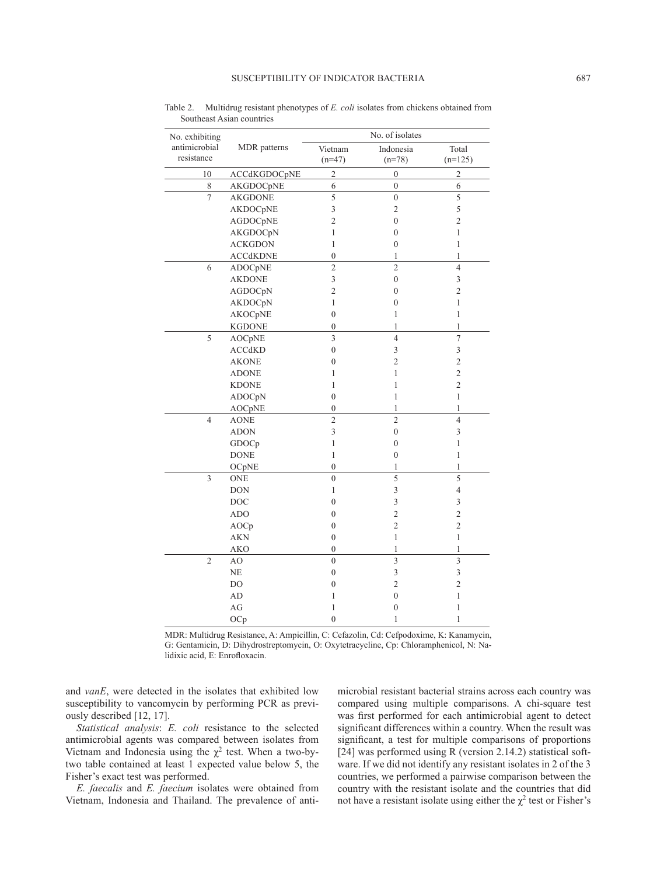| No. exhibiting |                 | No. of isolates         |                         |                |  |  |  |
|----------------|-----------------|-------------------------|-------------------------|----------------|--|--|--|
| antimicrobial  | MDR patterns    | Vietnam                 | Indonesia               | Total          |  |  |  |
| resistance     |                 | $(n=47)$                | $(n=78)$                | $(n=125)$      |  |  |  |
| 10             | ACCdKGDOCpNE    | $\overline{2}$          | $\boldsymbol{0}$        | $\overline{c}$ |  |  |  |
| 8              | AKGDOCpNE       | 6                       | $\boldsymbol{0}$        | 6              |  |  |  |
| $\overline{7}$ | <b>AKGDONE</b>  | 5                       | $\boldsymbol{0}$        | 5              |  |  |  |
|                | AKDOCpNE        | 3                       | $\overline{c}$          | 5              |  |  |  |
|                | AGDOCpNE        | $\overline{c}$          | $\boldsymbol{0}$        | $\overline{c}$ |  |  |  |
|                | AKGDOCpN        | 1                       | $\boldsymbol{0}$        | 1              |  |  |  |
|                | <b>ACKGDON</b>  | 1                       | $\boldsymbol{0}$        | 1              |  |  |  |
|                | <b>ACCdKDNE</b> | $\boldsymbol{0}$        | 1                       | $\,1$          |  |  |  |
| 6              | ADOCpNE         | $\overline{c}$          | $\overline{2}$          | $\overline{4}$ |  |  |  |
|                | <b>AKDONE</b>   | 3                       | $\boldsymbol{0}$        | 3              |  |  |  |
|                | AGDOCpN         | $\overline{c}$          | $\boldsymbol{0}$        | $\overline{2}$ |  |  |  |
|                | AKDOCpN         | 1                       | $\mathbf{0}$            | 1              |  |  |  |
|                | <b>AKOCpNE</b>  | $\overline{0}$          | 1                       | $\mathbf{1}$   |  |  |  |
|                | <b>KGDONE</b>   | $\overline{0}$          | 1                       | $\mathbf{1}$   |  |  |  |
| 5              | AOCpNE          | $\overline{\mathbf{3}}$ | $\overline{4}$          | $\overline{7}$ |  |  |  |
|                | ACCdKD          | $\overline{0}$          | 3                       | 3              |  |  |  |
|                | <b>AKONE</b>    | $\overline{0}$          | $\overline{2}$          | $\overline{2}$ |  |  |  |
|                | <b>ADONE</b>    | 1                       | 1                       | $\overline{c}$ |  |  |  |
|                | <b>KDONE</b>    | 1                       | 1                       | $\sqrt{2}$     |  |  |  |
|                | ADOCpN          | $\boldsymbol{0}$        | $\mathbf{1}$            | $\mathbf{1}$   |  |  |  |
|                | <b>AOCpNE</b>   | $\boldsymbol{0}$        | 1                       | $\mathbf{1}$   |  |  |  |
| $\overline{4}$ | <b>AONE</b>     | $\overline{c}$          | $\overline{c}$          | $\overline{4}$ |  |  |  |
|                | <b>ADON</b>     | 3                       | $\boldsymbol{0}$        | 3              |  |  |  |
|                | GDOCp           | 1                       | $\boldsymbol{0}$        | 1              |  |  |  |
|                | <b>DONE</b>     | 1                       | $\boldsymbol{0}$        | $\mathbf{1}$   |  |  |  |
|                | OCpNE           | $\mathbf{0}$            | $\mathbf{1}$            | $\mathbf{1}$   |  |  |  |
| $\overline{3}$ | <b>ONE</b>      | $\overline{0}$          | $\overline{5}$          | $\overline{5}$ |  |  |  |
|                | <b>DON</b>      | 1                       | $\overline{\mathbf{3}}$ | $\overline{4}$ |  |  |  |
|                | <b>DOC</b>      | $\overline{0}$          | 3                       | 3              |  |  |  |
|                | <b>ADO</b>      | $\boldsymbol{0}$        | $\overline{c}$          | $\overline{c}$ |  |  |  |
|                | AOCp            | $\boldsymbol{0}$        | $\overline{c}$          | $\overline{c}$ |  |  |  |
|                | <b>AKN</b>      | $\boldsymbol{0}$        | $\mathbf{1}$            | $\mathbf{1}$   |  |  |  |
|                | <b>AKO</b>      | $\boldsymbol{0}$        | 1                       | $\mathbf{1}$   |  |  |  |
| $\overline{2}$ | AO              | $\mathbf{0}$            | $\overline{\mathbf{3}}$ | 3              |  |  |  |
|                | <b>NE</b>       | $\boldsymbol{0}$        | $\overline{\mathbf{3}}$ | 3              |  |  |  |
|                | D <sub>O</sub>  | $\boldsymbol{0}$        | $\overline{c}$          | $\overline{c}$ |  |  |  |
|                | AD              | 1                       | $\boldsymbol{0}$        | 1              |  |  |  |
|                | AG              | 1                       | $\boldsymbol{0}$        | 1              |  |  |  |
|                | OCp             | $\overline{0}$          | 1                       | 1              |  |  |  |

Table 2. Multidrug resistant phenotypes of *E. coli* isolates from chickens obtained from Southeast Asian countries

MDR: Multidrug Resistance, A: Ampicillin, C: Cefazolin, Cd: Cefpodoxime, K: Kanamycin, G: Gentamicin, D: Dihydrostreptomycin, O: Oxytetracycline, Cp: Chloramphenicol, N: Nalidixic acid, E: Enrofloxacin.

and *vanE*, were detected in the isolates that exhibited low susceptibility to vancomycin by performing PCR as previously described [[12, 17\]](#page-7-2).

*Statistical analysis*: *E. coli* resistance to the selected antimicrobial agents was compared between isolates from Vietnam and Indonesia using the  $\chi^2$  test. When a two-bytwo table contained at least 1 expected value below 5, the Fisher's exact test was performed.

*E. faecalis* and *E. faecium* isolates were obtained from Vietnam, Indonesia and Thailand. The prevalence of antimicrobial resistant bacterial strains across each country was compared using multiple comparisons. A chi-square test was first performed for each antimicrobial agent to detect significant differences within a country. When the result was significant, a test for multiple comparisons of proportions [\[24\]](#page-7-4) was performed using R (version 2.14.2) statistical software. If we did not identify any resistant isolates in 2 of the 3 countries, we performed a pairwise comparison between the country with the resistant isolate and the countries that did not have a resistant isolate using either the  $\chi^2$  test or Fisher's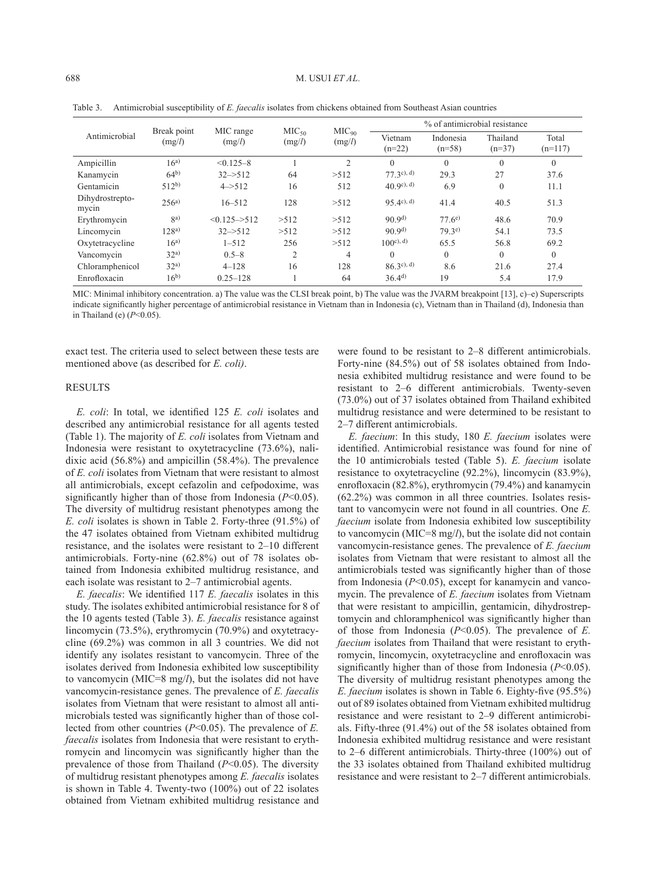| Antimicrobial            | Break point<br>(mg/l) | MIC range<br>(mg/l)       | MIC <sub>50</sub> |                             | % of antimicrobial resistance |                       |                      |                    |
|--------------------------|-----------------------|---------------------------|-------------------|-----------------------------|-------------------------------|-----------------------|----------------------|--------------------|
|                          |                       |                           | (mg/l)            | MIC <sub>90</sub><br>(mg/l) | Vietnam<br>$(n=22)$           | Indonesia<br>$(n=58)$ | Thailand<br>$(n=37)$ | Total<br>$(n=117)$ |
| Ampicillin               | $16^{a}$              | $< 0.125 - 8$             |                   | $\overline{2}$              | $\Omega$                      | $\theta$              | $\theta$             | $\mathbf{0}$       |
| Kanamycin                | $64^{b}$              | $32 - 512$                | 64                | >512                        | $77$ 3c), d)                  | 29.3                  | 27                   | 37.6               |
| Gentamicin               | $512^{b}$             | $4 - 512$                 | 16                | 512                         | $(40.9c)$ , d)                | 6.9                   | $\theta$             | 11.1               |
| Dihydrostrepto-<br>mycin | $256^{a}$             | $16 - 512$                | 128               | >512                        | $95 \, (4^c)$ , d)            | 41.4                  | 40.5                 | 51.3               |
| Erythromycin             | $\mathbf{R}^{a}$      | $< 0.125 \rightarrow 512$ | >512              | >512                        | 90.9 <sup>d</sup>             | $77.6^{e}$            | 48.6                 | 70.9               |
| Lincomycin               | $128^{a}$             | $32 - 512$                | >512              | >512                        | 90.9 <sup>d</sup>             | $79.3^{e}$            | 54.1                 | 73.5               |
| Oxytetracycline          | $16^{a}$              | $1 - 512$                 | 256               | >512                        | $100^{\circ}$ , d)            | 65.5                  | 56.8                 | 69.2               |
| Vancomycin               | 32 <sup>a</sup>       | $0.5 - 8$                 | $\overline{2}$    | $\overline{4}$              | $\Omega$                      | $\Omega$              | $\Omega$             | $\Omega$           |
| Chloramphenicol          | 32 <sup>a</sup>       | $4 - 128$                 | 16                | 128                         | $86.3c$ , d)                  | 8.6                   | 21.6                 | 27.4               |
| Enrofloxacin             | $16^{b}$              | $0.25 - 128$              |                   | 64                          | $36.4^{d}$                    | 19                    | 5.4                  | 17.9               |

Table 3. Antimicrobial susceptibility of *E. faecalis* isolates from chickens obtained from Southeast Asian countries

MIC: Minimal inhibitory concentration. a) The value was the CLSI break point, b) The value was the JVARM breakpoint [[13\]](#page-7-5), c)–e) Superscripts indicate significantly higher percentage of antimicrobial resistance in Vietnam than in Indonesia (c), Vietnam than in Thailand (d), Indonesia than in Thailand (e) (*P*<0.05).

exact test. The criteria used to select between these tests are mentioned above (as described for *E. coli)*.

#### **RESULTS**

*E. coli*: In total, we identified 125 *E. coli* isolates and described any antimicrobial resistance for all agents tested (Table 1). The majority of *E. coli* isolates from Vietnam and Indonesia were resistant to oxytetracycline (73.6%), nalidixic acid (56.8%) and ampicillin (58.4%). The prevalence of *E. coli* isolates from Vietnam that were resistant to almost all antimicrobials, except cefazolin and cefpodoxime, was significantly higher than of those from Indonesia (*P*<0.05). The diversity of multidrug resistant phenotypes among the *E. coli* isolates is shown in Table 2. Forty-three (91.5%) of the 47 isolates obtained from Vietnam exhibited multidrug resistance, and the isolates were resistant to 2–10 different antimicrobials. Forty-nine (62.8%) out of 78 isolates obtained from Indonesia exhibited multidrug resistance, and each isolate was resistant to 2–7 antimicrobial agents.

*E. faecalis*: We identified 117 *E. faecalis* isolates in this study. The isolates exhibited antimicrobial resistance for 8 of the 10 agents tested (Table 3). *E. faecalis* resistance against lincomycin (73.5%), erythromycin (70.9%) and oxytetracycline (69.2%) was common in all 3 countries. We did not identify any isolates resistant to vancomycin. Three of the isolates derived from Indonesia exhibited low susceptibility to vancomycin (MIC=8 mg/*l*), but the isolates did not have vancomycin-resistance genes. The prevalence of *E. faecalis* isolates from Vietnam that were resistant to almost all antimicrobials tested was significantly higher than of those collected from other countries (*P*<0.05). The prevalence of *E. faecalis* isolates from Indonesia that were resistant to erythromycin and lincomycin was significantly higher than the prevalence of those from Thailand (*P*<0.05). The diversity of multidrug resistant phenotypes among *E. faecalis* isolates is shown in Table 4. Twenty-two (100%) out of 22 isolates obtained from Vietnam exhibited multidrug resistance and were found to be resistant to 2–8 different antimicrobials. Forty-nine (84.5%) out of 58 isolates obtained from Indonesia exhibited multidrug resistance and were found to be resistant to 2–6 different antimicrobials. Twenty-seven (73.0%) out of 37 isolates obtained from Thailand exhibited multidrug resistance and were determined to be resistant to 2–7 different antimicrobials.

*E. faecium*: In this study, 180 *E. faecium* isolates were identified. Antimicrobial resistance was found for nine of the 10 antimicrobials tested (Table 5). *E. faecium* isolate resistance to oxytetracycline (92.2%), lincomycin (83.9%), enrofloxacin (82.8%), erythromycin (79.4%) and kanamycin (62.2%) was common in all three countries. Isolates resistant to vancomycin were not found in all countries. One *E. faecium* isolate from Indonesia exhibited low susceptibility to vancomycin (MIC=8 mg/*l*), but the isolate did not contain vancomycin-resistance genes. The prevalence of *E. faecium* isolates from Vietnam that were resistant to almost all the antimicrobials tested was significantly higher than of those from Indonesia (*P*<0.05), except for kanamycin and vancomycin. The prevalence of *E. faecium* isolates from Vietnam that were resistant to ampicillin, gentamicin, dihydrostreptomycin and chloramphenicol was significantly higher than of those from Indonesia (*P*<0.05). The prevalence of *E. faecium* isolates from Thailand that were resistant to erythromycin, lincomycin, oxytetracycline and enrofloxacin was significantly higher than of those from Indonesia (*P*<0.05). The diversity of multidrug resistant phenotypes among the *E. faecium* isolates is shown in Table 6. Eighty-five (95.5%) out of 89 isolates obtained from Vietnam exhibited multidrug resistance and were resistant to 2–9 different antimicrobials. Fifty-three (91.4%) out of the 58 isolates obtained from Indonesia exhibited multidrug resistance and were resistant to 2–6 different antimicrobials. Thirty-three (100%) out of the 33 isolates obtained from Thailand exhibited multidrug resistance and were resistant to 2–7 different antimicrobials.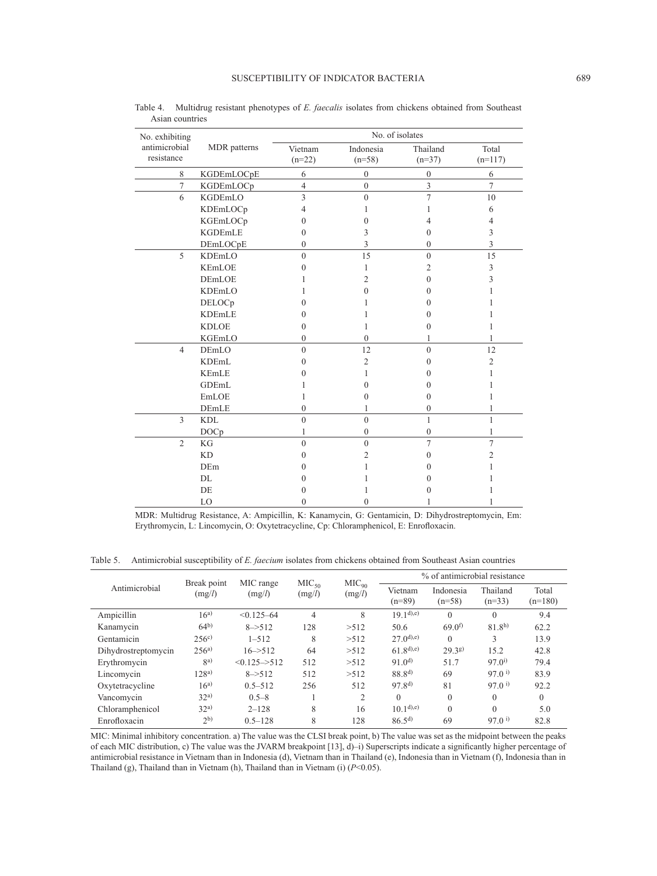| No. exhibiting              |                  | No. of isolates     |                       |                      |                    |  |  |  |
|-----------------------------|------------------|---------------------|-----------------------|----------------------|--------------------|--|--|--|
| antimicrobial<br>resistance | MDR patterns     | Vietnam<br>$(n=22)$ | Indonesia<br>$(n=58)$ | Thailand<br>$(n=37)$ | Total<br>$(n=117)$ |  |  |  |
| 8                           | KGDEmLOCpE       | 6                   | $\mathbf{0}$          | $\boldsymbol{0}$     | 6                  |  |  |  |
| $\overline{7}$              | KGDEmLOCp        | $\overline{4}$      | $\overline{0}$        | 3                    | $\overline{7}$     |  |  |  |
| 6                           | KGDEmLO          | 3                   | $\theta$              | $\overline{7}$       | 10                 |  |  |  |
|                             | KDEmLOCp         | 4                   | ı                     | 1                    | 6                  |  |  |  |
|                             | KGEmLOCp         | $\theta$            | $\theta$              | 4                    | 4                  |  |  |  |
|                             | <b>KGDEmLE</b>   | $\theta$            | 3                     | $\theta$             | 3                  |  |  |  |
|                             | DEmLOCpE         | $\mathbf{0}$        | 3                     | $\mathbf{0}$         | 3                  |  |  |  |
| 5                           | KDEmLO           | $\theta$            | 15                    | $\theta$             | 15                 |  |  |  |
|                             | <b>KEmLOE</b>    | $\Omega$            | 1                     | 2                    | 3                  |  |  |  |
|                             | <b>DEmLOE</b>    |                     | $\overline{2}$        | $\Omega$             | 3                  |  |  |  |
|                             | <b>KDEmLO</b>    |                     | 0                     | $\Omega$             |                    |  |  |  |
|                             | DELOCp           | $\Omega$            |                       | $\Omega$             |                    |  |  |  |
|                             | <b>KDEmLE</b>    | $\theta$            |                       | $\theta$             |                    |  |  |  |
|                             | <b>KDLOE</b>     | $\theta$            | 1                     | $\theta$             |                    |  |  |  |
|                             | KGEmLO           | $\mathbf{0}$        | $\theta$              | 1                    |                    |  |  |  |
| $\overline{4}$              | DEmLO            | $\overline{0}$      | 12                    | $\theta$             | 12                 |  |  |  |
|                             | <b>KDEmL</b>     | $\theta$            | 2                     | $\theta$             | $\overline{2}$     |  |  |  |
|                             | <b>KEmLE</b>     | 0                   | 1                     | 0                    |                    |  |  |  |
|                             | GDEmL            |                     | $\theta$              | $\Omega$             |                    |  |  |  |
|                             | EmLOE            | 1                   | 0                     | $\theta$             |                    |  |  |  |
|                             | DEmLE            | $\mathbf{0}$        | 1                     | $\mathbf{0}$         | 1                  |  |  |  |
| 3                           | <b>KDL</b>       | $\overline{0}$      | $\theta$              | $\mathbf{1}$         | 1                  |  |  |  |
|                             | DOC <sub>p</sub> | 1                   | $\mathbf{0}$          | $\mathbf{0}$         | 1                  |  |  |  |
| $\overline{2}$              | KG               | $\theta$            | $\theta$              | 7                    | $\overline{7}$     |  |  |  |
|                             | <b>KD</b>        | $\theta$            | 2                     | $\Omega$             | 2                  |  |  |  |
|                             | DEm              | 0                   |                       | 0                    |                    |  |  |  |
|                             | DI.              | 0                   |                       | $\Omega$             |                    |  |  |  |
|                             | DE               | 0                   |                       | 0                    |                    |  |  |  |
|                             | LO               | $\theta$            | $\Omega$              |                      |                    |  |  |  |

Table 4. Multidrug resistant phenotypes of *E. faecalis* isolates from chickens obtained from Southeast Asian countries

MDR: Multidrug Resistance, A: Ampicillin, K: Kanamycin, G: Gentamicin, D: Dihydrostreptomycin, Em: Erythromycin, L: Lincomycin, O: Oxytetracycline, Cp: Chloramphenicol, E: Enrofloxacin.

Table 5. Antimicrobial susceptibility of *E. faecium* isolates from chickens obtained from Southeast Asian countries

| Antimicrobial       | Break point<br>(mg/l) | MIC range<br>(mg/l)       | MIC <sub>50</sub><br>(mg/l) | MIC <sub>90</sub><br>(mg/l) | % of antimicrobial resistance |                       |                      |                    |
|---------------------|-----------------------|---------------------------|-----------------------------|-----------------------------|-------------------------------|-----------------------|----------------------|--------------------|
|                     |                       |                           |                             |                             | Vietnam<br>$(n=89)$           | Indonesia<br>$(n=58)$ | Thailand<br>$(n=33)$ | Total<br>$(n=180)$ |
| Ampicillin          | $16^{a}$              | $< 0.125 - 64$            | 4                           | 8                           | $19,1^{d}$ ,e)                | $\theta$              | $\Omega$             | 9.4                |
| Kanamycin           | 64 <sup>b</sup>       | $8 - > 512$               | 128                         | >512                        | 50.6                          | 69.0 <sup>f</sup>     | 81.8 <sup>h</sup>    | 62.2               |
| Gentamicin          | 256 <sup>c</sup>      | $1 - 512$                 | 8                           | >512                        | $27.0^{d(e)}$                 | $\theta$              | 3                    | 13.9               |
| Dihydrostreptomycin | $256^{a}$             | $16 - 512$                | 64                          | >512                        | $61.8^{d, e}$                 | 29.38                 | 15.2                 | 42.8               |
| Erythromycin        | ga)                   | $< 0.125 \rightarrow 512$ | 512                         | >512                        | 91.0 <sup>d</sup>             | 51.7                  | $97.0^{i}$           | 79.4               |
| Lincomycin          | $128^{a}$             | $8 - > 512$               | 512                         | >512                        | $88.8^{d}$                    | 69                    | $97.0^{\text{ i}}$   | 83.9               |
| Oxytetracycline     | $16^{a}$              | $0.5 - 512$               | 256                         | 512                         | 97.8 <sup>d</sup>             | 81                    | $97.0^{\text{ i}}$   | 92.2               |
| Vancomycin          | 32 <sup>a</sup>       | $0.5 - 8$                 |                             | $\overline{2}$              | $\theta$                      | $\mathbf{0}$          | $\theta$             | $\Omega$           |
| Chloramphenicol     | 32 <sup>a</sup>       | $2 - 128$                 | 8                           | 16                          | $10.1^{d}$ ,e)                | $\theta$              | $\Omega$             | 5.0                |
| Enrofloxacin        | 2 <sup>b</sup>        | $0.5 - 128$               | 8                           | 128                         | $86.5^{d}$                    | 69                    | $97.0^{\text{ i}}$   | 82.8               |

MIC: Minimal inhibitory concentration. a) The value was the CLSI break point, b) The value was set as the midpoint between the peaks of each MIC distribution, c) The value was the JVARM breakpoint [[13\]](#page-7-5), d)–i) Superscripts indicate a significantly higher percentage of antimicrobial resistance in Vietnam than in Indonesia (d), Vietnam than in Thailand (e), Indonesia than in Vietnam (f), Indonesia than in Thailand (g), Thailand than in Vietnam (h), Thailand than in Vietnam (i) (*P*<0.05).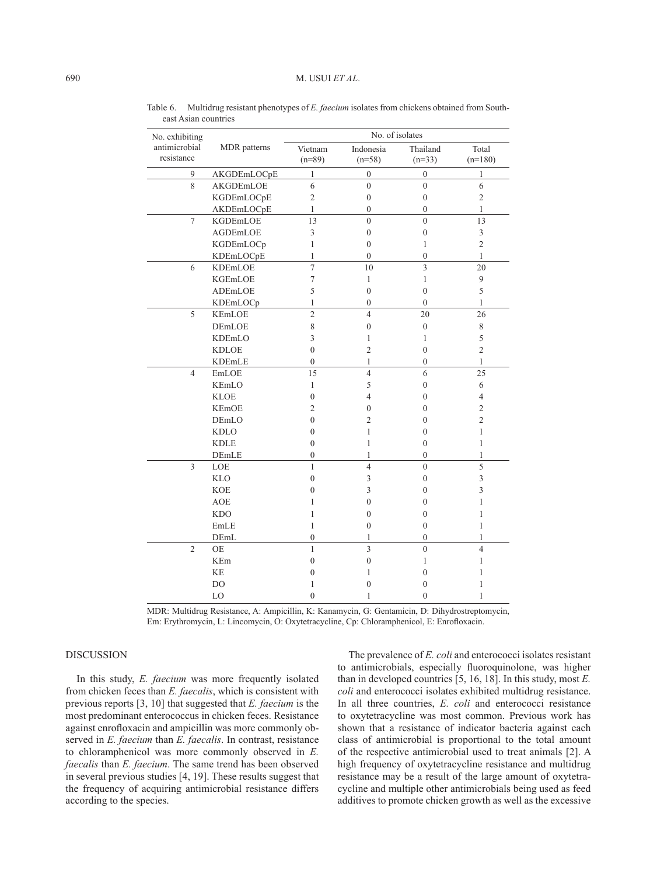| No. exhibiting |                           | No. of isolates          |                  |                  |                |  |  |
|----------------|---------------------------|--------------------------|------------------|------------------|----------------|--|--|
| antimicrobial  | MDR patterns              | Vietnam                  | Indonesia        | Thailand         | Total          |  |  |
| resistance     |                           | $(n=89)$                 | $(n=58)$         | $(n=33)$         | $(n=180)$      |  |  |
| 9              | AKGDEmLOCpE               | 1                        | $\boldsymbol{0}$ | $\boldsymbol{0}$ | 1              |  |  |
| $\overline{8}$ | AKGDEmLOE                 | 6                        | $\theta$         | $\theta$         | 6              |  |  |
|                | KGDEmLOCpE                | $\sqrt{2}$               | $\boldsymbol{0}$ | $\boldsymbol{0}$ | $\sqrt{2}$     |  |  |
|                | AKDEmLOCpE                | $\mathbf{1}$             | $\overline{0}$   | $\overline{0}$   | $\mathbf{1}$   |  |  |
| $\overline{7}$ | KGDEmLOE                  | 13                       | $\theta$         | $\theta$         | 13             |  |  |
|                | AGDEmLOE                  | $\mathfrak{Z}$           | $\boldsymbol{0}$ | $\boldsymbol{0}$ | 3              |  |  |
|                | KGDEmLOCp                 | 1                        | $\mathbf{0}$     | 1                | $\overline{c}$ |  |  |
|                | KDEmLOCpE                 | $\mathbf{1}$             | $\boldsymbol{0}$ | $\boldsymbol{0}$ | 1              |  |  |
| 6              | KDEmLOE                   | $\overline{7}$           | 10               | 3                | 20             |  |  |
|                | KGEmLOE                   | $\overline{\mathcal{I}}$ | $\mathbf{1}$     | $\mathbf{1}$     | 9              |  |  |
|                | ADEmLOE                   | 5                        | $\overline{0}$   | $\overline{0}$   | 5              |  |  |
|                | KDEmLOCp                  | 1                        | $\overline{0}$   | $\overline{0}$   | 1              |  |  |
| 5              | <b>KEmLOE</b>             | $\overline{2}$           | $\overline{4}$   | 20               | 26             |  |  |
|                | DEmLOE                    | 8                        | $\mathbf{0}$     | $\boldsymbol{0}$ | $\,$ $\,$      |  |  |
|                | <b>KDEmLO</b>             | 3                        | 1                | $\mathbf{1}$     | 5              |  |  |
|                | <b>KDLOE</b>              | $\boldsymbol{0}$         | $\overline{c}$   | $\boldsymbol{0}$ | $\overline{c}$ |  |  |
|                | <b>KDEmLE</b>             | $\overline{0}$           | $\mathbf{1}$     | $\overline{0}$   | $\mathbf{1}$   |  |  |
| $\overline{4}$ | EmLOE                     | 15                       | $\overline{4}$   | 6                | 25             |  |  |
|                | KEmLO                     | $\mathbf{1}$             | 5                | $\boldsymbol{0}$ | 6              |  |  |
|                | <b>KLOE</b>               | $\boldsymbol{0}$         | 4                | $\mathbf{0}$     | 4              |  |  |
|                | <b>KEmOE</b>              | $\mathbf{2}$             | $\boldsymbol{0}$ | $\theta$         | 2              |  |  |
|                | DEmLO                     | $\boldsymbol{0}$         | $\overline{c}$   | $\boldsymbol{0}$ | $\overline{c}$ |  |  |
|                | <b>KDLO</b>               | $\boldsymbol{0}$         | 1                | $\mathbf{0}$     | $\mathbf{1}$   |  |  |
|                | <b>KDLE</b>               | $\boldsymbol{0}$         | 1                | $\boldsymbol{0}$ | $\mathbf{1}$   |  |  |
|                | DEmLE                     | $\overline{0}$           | 1                | $\mathbf{0}$     | 1              |  |  |
| $\overline{3}$ | $\ensuremath{\text{LOE}}$ | $\mathbf{1}$             | $\overline{4}$   | $\overline{0}$   | 5              |  |  |
|                | <b>KLO</b>                | $\boldsymbol{0}$         | 3                | $\boldsymbol{0}$ | 3              |  |  |
|                | <b>KOE</b>                | $\mathbf{0}$             | 3                | $\mathbf{0}$     | 3              |  |  |
|                | <b>AOE</b>                | 1                        | $\overline{0}$   | $\boldsymbol{0}$ | 1              |  |  |
|                | <b>KDO</b>                | 1                        | $\overline{0}$   | $\mathbf{0}$     | $\mathbf{1}$   |  |  |
|                | EmLE                      | $\mathbf{1}$             | $\overline{0}$   | $\mathbf{0}$     | $\mathbf{1}$   |  |  |
|                | DEmL                      | $\boldsymbol{0}$         | 1                | $\boldsymbol{0}$ | $\mathbf{1}$   |  |  |
| $\overline{2}$ | OE                        | $\mathbf{1}$             | $\overline{3}$   | $\theta$         | $\overline{4}$ |  |  |
|                | KEm                       | $\boldsymbol{0}$         | $\boldsymbol{0}$ | $\mathbf{1}$     | 1              |  |  |
|                | <b>KE</b>                 | $\overline{0}$           | 1                | $\mathbf{0}$     | 1              |  |  |
|                | DO                        | 1                        | $\mathbf{0}$     | $\theta$         | 1              |  |  |
|                | LO                        | 0                        | 1                | $\theta$         | 1              |  |  |

Table 6. Multidrug resistant phenotypes of *E. faecium* isolates from chickens obtained from Southeast Asian countries

MDR: Multidrug Resistance, A: Ampicillin, K: Kanamycin, G: Gentamicin, D: Dihydrostreptomycin, Em: Erythromycin, L: Lincomycin, O: Oxytetracycline, Cp: Chloramphenicol, E: Enrofloxacin.

# DISCUSSION

In this study, *E. faecium* was more frequently isolated from chicken feces than *E. faecalis*, which is consistent with previous reports [[3, 10](#page-6-6)] that suggested that *E. faecium* is the most predominant enterococcus in chicken feces. Resistance against enrofloxacin and ampicillin was more commonly observed in *E. faecium* than *E. faecalis*. In contrast, resistance to chloramphenicol was more commonly observed in *E. faecalis* than *E. faecium*. The same trend has been observed in several previous studies [\[4, 19](#page-6-7)]. These results suggest that the frequency of acquiring antimicrobial resistance differs according to the species.

The prevalence of *E. coli* and enterococci isolates resistant to antimicrobials, especially fluoroquinolone, was higher than in developed countries [[5, 16, 18\]](#page-6-4). In this study, most *E. coli* and enterococci isolates exhibited multidrug resistance. In all three countries, *E. coli* and enterococci resistance to oxytetracycline was most common. Previous work has shown that a resistance of indicator bacteria against each class of antimicrobial is proportional to the total amount of the respective antimicrobial used to treat animals [\[2](#page-6-8)]. A high frequency of oxytetracycline resistance and multidrug resistance may be a result of the large amount of oxytetracycline and multiple other antimicrobials being used as feed additives to promote chicken growth as well as the excessive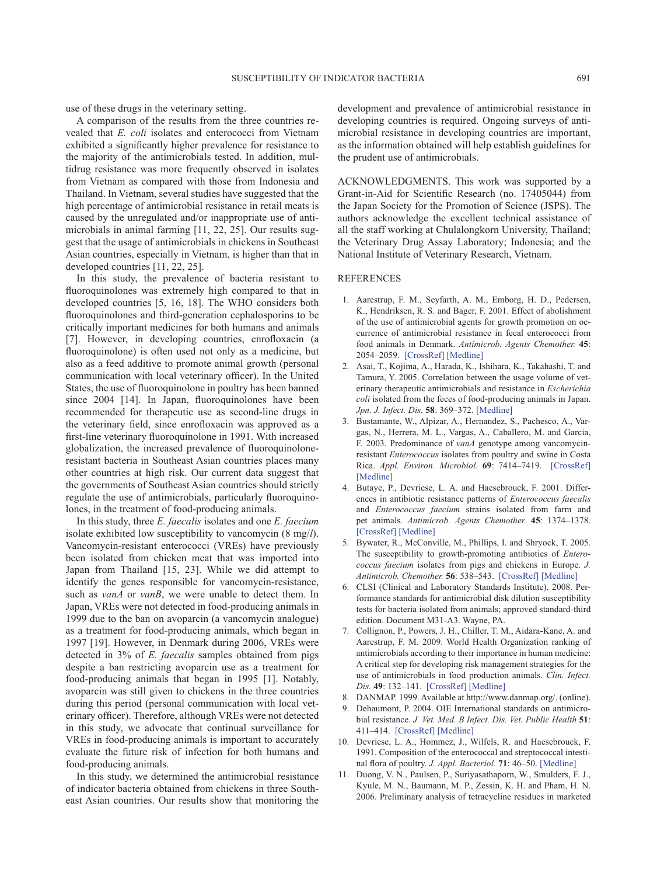use of these drugs in the veterinary setting.

A comparison of the results from the three countries revealed that *E. coli* isolates and enterococci from Vietnam exhibited a significantly higher prevalence for resistance to the majority of the antimicrobials tested. In addition, multidrug resistance was more frequently observed in isolates from Vietnam as compared with those from Indonesia and Thailand. In Vietnam, several studies have suggested that the high percentage of antimicrobial resistance in retail meats is caused by the unregulated and/or inappropriate use of antimicrobials in animal farming [[11, 22, 25](#page-6-3)]. Our results suggest that the usage of antimicrobials in chickens in Southeast Asian countries, especially in Vietnam, is higher than that in developed countries [[11, 22, 25\]](#page-6-3).

In this study, the prevalence of bacteria resistant to fluoroquinolones was extremely high compared to that in developed countries [[5, 16, 18](#page-6-4)]. The WHO considers both fluoroquinolones and third-generation cephalosporins to be critically important medicines for both humans and animals [[7](#page-6-9)]. However, in developing countries, enrofloxacin (a fluoroquinolone) is often used not only as a medicine, but also as a feed additive to promote animal growth (personal communication with local veterinary officer). In the United States, the use of fluoroquinolone in poultry has been banned since 2004 [[14](#page-7-6)]. In Japan, fluoroquinolones have been recommended for therapeutic use as second-line drugs in the veterinary field, since enrofloxacin was approved as a first-line veterinary fluoroquinolone in 1991. With increased globalization, the increased prevalence of fluoroquinoloneresistant bacteria in Southeast Asian countries places many other countries at high risk. Our current data suggest that the governments of Southeast Asian countries should strictly regulate the use of antimicrobials, particularly fluoroquinolones, in the treatment of food-producing animals.

In this study, three *E. faecalis* isolates and one *E. faecium* isolate exhibited low susceptibility to vancomycin (8 mg/*l*). Vancomycin-resistant enterococci (VREs) have previously been isolated from chicken meat that was imported into Japan from Thailand [\[15, 23](#page-7-7)]. While we did attempt to identify the genes responsible for vancomycin-resistance, such as *vanA* or *vanB*, we were unable to detect them. In Japan, VREs were not detected in food-producing animals in 1999 due to the ban on avoparcin (a vancomycin analogue) as a treatment for food-producing animals, which began in 1997 [[19](#page-7-8)]. However, in Denmark during 2006, VREs were detected in 3% of *E. faecalis* samples obtained from pigs despite a ban restricting avoparcin use as a treatment for food-producing animals that began in 1995 [[1\]](#page-6-2). Notably, avoparcin was still given to chickens in the three countries during this period (personal communication with local veterinary officer). Therefore, although VREs were not detected in this study, we advocate that continual surveillance for VREs in food-producing animals is important to accurately evaluate the future risk of infection for both humans and food-producing animals.

In this study, we determined the antimicrobial resistance of indicator bacteria obtained from chickens in three Southeast Asian countries. Our results show that monitoring the

development and prevalence of antimicrobial resistance in developing countries is required. Ongoing surveys of antimicrobial resistance in developing countries are important, as the information obtained will help establish guidelines for the prudent use of antimicrobials.

ACKNOWLEDGMENTS. This work was supported by a Grant-in-Aid for Scientific Research (no. 17405044) from the Japan Society for the Promotion of Science (JSPS). The authors acknowledge the excellent technical assistance of all the staff working at Chulalongkorn University, Thailand; the Veterinary Drug Assay Laboratory; Indonesia; and the National Institute of Veterinary Research, Vietnam.

## REFERENCES

- <span id="page-6-2"></span>1. Aarestrup, F. M., Seyfarth, A. M., Emborg, H. D., Pedersen, K., Hendriksen, R. S. and Bager, F. 2001. Effect of abolishment of the use of antimicrobial agents for growth promotion on occurrence of antimicrobial resistance in fecal enterococci from food animals in Denmark. *Antimicrob. Agents Chemother.* **45**: 2054–2059. [\[CrossRef\]](http://dx.doi.org/10.1128/AAC.45.7.2054-2059.2001) [\[Medline\]](http://www.ncbi.nlm.nih.gov/pubmed/11408222?dopt=Abstract)
- <span id="page-6-8"></span>2. Asai, T., Kojima, A., Harada, K., Ishihara, K., Takahashi, T. and Tamura, Y. 2005. Correlation between the usage volume of veterinary therapeutic antimicrobials and resistance in *Escherichia coli* isolated from the feces of food-producing animals in Japan. *Jpn. J. Infect. Dis.* **58**: 369–372. [\[Medline\]](http://www.ncbi.nlm.nih.gov/pubmed/16377870?dopt=Abstract)
- <span id="page-6-6"></span>3. Bustamante, W., Alpizar, A., Hernandez, S., Pachesco, A., Vargas, N., Herrera, M. L., Vargas, A., Caballero, M. and Garcia, F. 2003. Predominance of *vanA* genotype among vancomycinresistant *Enterococcus* isolates from poultry and swine in Costa Rica. *Appl. Environ. Microbiol.* **69**: 7414–7419. [\[CrossRef\]](http://dx.doi.org/10.1128/AEM.69.12.7414-7419.2003) [\[Medline\]](http://www.ncbi.nlm.nih.gov/pubmed/14660393?dopt=Abstract)
- <span id="page-6-7"></span>4. Butaye, P., Devriese, L. A. and Haesebrouck, F. 2001. Differences in antibiotic resistance patterns of *Enterococcus faecalis* and *Enterococcus faecium* strains isolated from farm and pet animals. *Antimicrob. Agents Chemother.* **45**: 1374–1378. [\[CrossRef\]](http://dx.doi.org/10.1128/AAC.45.5.1374-1378.2001) [\[Medline\]](http://www.ncbi.nlm.nih.gov/pubmed/11302798?dopt=Abstract)
- <span id="page-6-4"></span>5. Bywater, R., McConville, M., Phillips, I. and Shryock, T. 2005. The susceptibility to growth-promoting antibiotics of *Enterococcus faecium* isolates from pigs and chickens in Europe. *J. Antimicrob. Chemother.* **56**: 538–543. [\[CrossRef\]](http://dx.doi.org/10.1093/jac/dki273) [\[Medline\]](http://www.ncbi.nlm.nih.gov/pubmed/16085669?dopt=Abstract)
- <span id="page-6-5"></span>6. CLSI (Clinical and Laboratory Standards Institute). 2008. Performance standards for antimicrobial disk dilution susceptibility tests for bacteria isolated from animals; approved standard-third edition. Document M31-A3. Wayne, PA.
- <span id="page-6-9"></span>7. Collignon, P., Powers, J. H., Chiller, T. M., Aidara-Kane, A. and Aarestrup, F. M. 2009. World Health Organization ranking of antimicrobials according to their importance in human medicine: A critical step for developing risk management strategies for the use of antimicrobials in food production animals. *Clin. Infect. Dis.* **49**: 132–141. [\[CrossRef\]](http://dx.doi.org/10.1086/599374) [\[Medline\]](http://www.ncbi.nlm.nih.gov/pubmed/19489713?dopt=Abstract)
- <span id="page-6-1"></span>8. DANMAP. 1999. Available at http://www.danmap.org/. (online).
- <span id="page-6-0"></span>9. Dehaumont, P. 2004. OIE International standards on antimicrobial resistance. *J. Vet. Med. B Infect. Dis. Vet. Public Health* **51**: 411–414. [\[CrossRef\]](http://dx.doi.org/10.1111/j.1439-0450.2004.00784.x) [\[Medline\]](http://www.ncbi.nlm.nih.gov/pubmed/15525376?dopt=Abstract)
- 10. Devriese, L. A., Hommez, J., Wilfels, R. and Haesebrouck, F. 1991. Composition of the enterococcal and streptococcal intestinal flora of poultry. *J. Appl. Bacteriol.* **71**: 46–50. [\[Medline\]](http://www.ncbi.nlm.nih.gov/pubmed/1910033?dopt=Abstract)
- <span id="page-6-3"></span>11. Duong, V. N., Paulsen, P., Suriyasathaporn, W., Smulders, F. J., Kyule, M. N., Baumann, M. P., Zessin, K. H. and Pham, H. N. 2006. Preliminary analysis of tetracycline residues in marketed